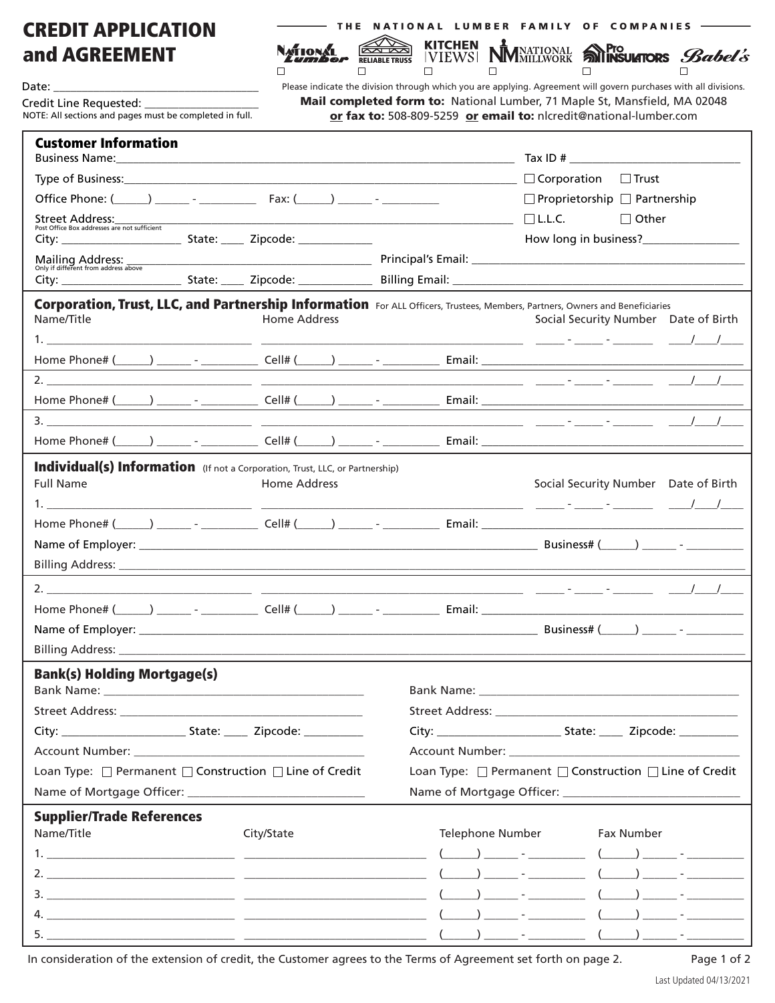## CREDIT APPLICATION and AGREEMENT

Date:

Credit Line Requested:

|  |  |  |  |  |  | — THE NATIONAL LUMBER FAMILY OF COMPANIES |
|--|--|--|--|--|--|-------------------------------------------|
|--|--|--|--|--|--|-------------------------------------------|

ľ

NATIONAL

 $\Box$ 

**IVIEWS RELIABLE TRUSS**  $\Box$  $\Box$ 

ſź

 $\Box$  $\Box$  $\Box$ Please indicate the division through which you are applying. Agreement will govern purchases with all divisions. Mail completed form to: National Lumber, 71 Maple St, Mansfield, MA 02048

MNATIONAL **SOPIO BOOKS** Babel's

NOTE: All sections and pages must be completed in full. or fax to: 508-809-5259 or email to: nlcredit@national-lumber.com

**KITCHEN** 

| <b>Customer Information</b>                                                         |  |                     |                                                                                                                                                                                                                                |  |  |  |
|-------------------------------------------------------------------------------------|--|---------------------|--------------------------------------------------------------------------------------------------------------------------------------------------------------------------------------------------------------------------------|--|--|--|
|                                                                                     |  |                     |                                                                                                                                                                                                                                |  |  |  |
|                                                                                     |  |                     | $\Box$ Proprietorship $\Box$ Partnership                                                                                                                                                                                       |  |  |  |
|                                                                                     |  |                     | $\Box$ L.L.C.<br>$\Box$ Other                                                                                                                                                                                                  |  |  |  |
|                                                                                     |  |                     |                                                                                                                                                                                                                                |  |  |  |
| Mailing Address:<br>Only if different from address above                            |  |                     |                                                                                                                                                                                                                                |  |  |  |
|                                                                                     |  |                     |                                                                                                                                                                                                                                |  |  |  |
| Name/Title                                                                          |  | Home Address        | Corporation, Trust, LLC, and Partnership Information For ALL Officers, Trustees, Members, Partners, Owners and Beneficiaries<br>Social Security Number Date of Birth                                                           |  |  |  |
|                                                                                     |  |                     |                                                                                                                                                                                                                                |  |  |  |
|                                                                                     |  |                     |                                                                                                                                                                                                                                |  |  |  |
|                                                                                     |  |                     | Home Phone# (\\omether_\) \\ \\omether_{\right} - \\ \\omether_{\right} Cell# (\\omether_\) \\ \\omether_{\right} - \\ \\omether_{\right} - \\omether_{\right} - \\omether_{\right}} - \\omether_{\right}} - \\omether_{\right |  |  |  |
|                                                                                     |  |                     |                                                                                                                                                                                                                                |  |  |  |
|                                                                                     |  |                     |                                                                                                                                                                                                                                |  |  |  |
| <b>Individual(s) Information</b> (If not a Corporation, Trust, LLC, or Partnership) |  |                     |                                                                                                                                                                                                                                |  |  |  |
| <b>Full Name</b>                                                                    |  | <b>Home Address</b> | Social Security Number Date of Birth                                                                                                                                                                                           |  |  |  |
|                                                                                     |  |                     |                                                                                                                                                                                                                                |  |  |  |
|                                                                                     |  |                     |                                                                                                                                                                                                                                |  |  |  |
|                                                                                     |  |                     |                                                                                                                                                                                                                                |  |  |  |
|                                                                                     |  |                     |                                                                                                                                                                                                                                |  |  |  |
|                                                                                     |  |                     |                                                                                                                                                                                                                                |  |  |  |
|                                                                                     |  |                     |                                                                                                                                                                                                                                |  |  |  |
|                                                                                     |  |                     |                                                                                                                                                                                                                                |  |  |  |
|                                                                                     |  |                     |                                                                                                                                                                                                                                |  |  |  |
| <b>Bank(s) Holding Mortgage(s)</b>                                                  |  |                     |                                                                                                                                                                                                                                |  |  |  |
|                                                                                     |  |                     | Bank Name: Name and Service and Service and Service and Service and Service and Service and Service and Service and Service and Service and Service and Service and Service and Service and Service and Service and Service an |  |  |  |
|                                                                                     |  |                     |                                                                                                                                                                                                                                |  |  |  |
|                                                                                     |  |                     |                                                                                                                                                                                                                                |  |  |  |
|                                                                                     |  |                     | Account Number: National Account Number:                                                                                                                                                                                       |  |  |  |
| Loan Type: □ Permanent □ Construction □ Line of Credit                              |  |                     | Loan Type: □ Permanent □ Construction □ Line of Credit                                                                                                                                                                         |  |  |  |
|                                                                                     |  |                     |                                                                                                                                                                                                                                |  |  |  |
| <b>Supplier/Trade References</b>                                                    |  |                     |                                                                                                                                                                                                                                |  |  |  |
| Name/Title                                                                          |  | City/State          | Telephone Number<br>Fax Number                                                                                                                                                                                                 |  |  |  |
|                                                                                     |  |                     |                                                                                                                                                                                                                                |  |  |  |
|                                                                                     |  |                     |                                                                                                                                                                                                                                |  |  |  |
|                                                                                     |  |                     |                                                                                                                                                                                                                                |  |  |  |
|                                                                                     |  |                     |                                                                                                                                                                                                                                |  |  |  |
|                                                                                     |  |                     |                                                                                                                                                                                                                                |  |  |  |

In consideration of the extension of credit, the Customer agrees to the Terms of Agreement set forth on page 2. Page 1 of 2